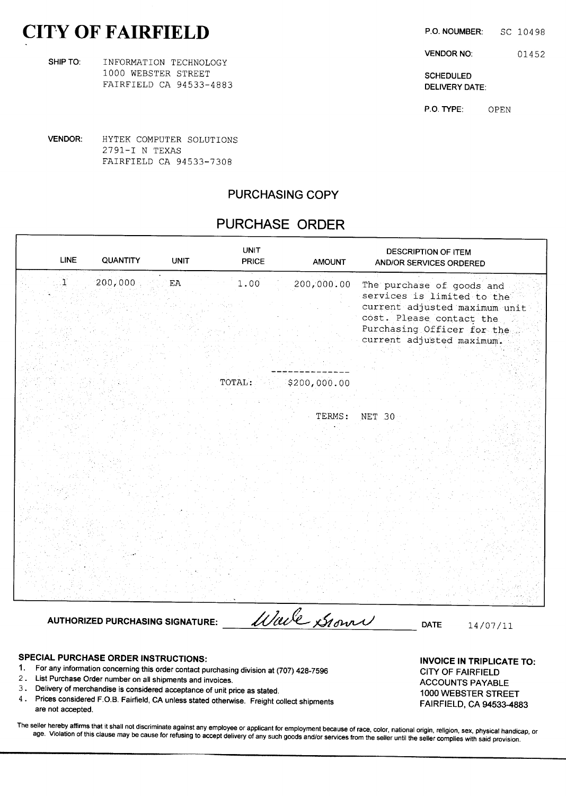## CITY OF FAIRFIELD P.O. NOUMBER: SC 10498

| SHIP TO: | INFORMATION TECHNOLOGY  |                   |
|----------|-------------------------|-------------------|
|          | 1000 WEBSTER STREET     | <b>SCHEDULE</b>   |
|          | FAIRFIELD CA 94533-4883 | <b>DELIVERY I</b> |

VENDOR NO: 01452

DELIVERY DATE:

P.O. TYPE: OPEN

VENDOR: HYTEK COMPUTER SOLUTIONS 2791—I <sup>N</sup> TEXAS FAIRFIELD CA 94533-7308

### PURCHASING COPY

### PURCHASE ORDER

| <b>LINE</b>  | <b>QUANTITY</b> | <b>UNIT</b> | <b>UNIT</b><br><b>PRICE</b> | <b>AMOUNT</b> | <b>DESCRIPTION OF ITEM</b><br>AND/OR SERVICES ORDERED                                                                                                                           |
|--------------|-----------------|-------------|-----------------------------|---------------|---------------------------------------------------------------------------------------------------------------------------------------------------------------------------------|
| $\mathbf{I}$ | 200,000         | ${\rm EA}$  | 1.00                        | 200,000.00    | The purchase of goods and<br>services is limited to the<br>current adjusted maximum unit<br>cost. Please contact the<br>Purchasing Officer for the<br>current adjusted maximum. |
|              |                 |             | TOTAL:                      | \$200,000.00  |                                                                                                                                                                                 |
|              |                 |             |                             | TERMS:        | NET 30                                                                                                                                                                          |

AUTHORIZED PURCHASING SIGNATURE: *Ullele Stown* 

### SPECIAL PURCHASE ORDER INSTRUCTIONS: INVOICE IN TRIPLICATE TO:

- 1. For any information concerning this order contact purchasing division at (707) 428-7596 CITY OF FAIRFIELD
- 2. List Purchase Order number on all shipments and invoices.<br>ACCOUNTS PAYABLE
- 3. Delivery of merchandise is considered acceptance of unit price as stated. 1000 WEBSTER STREET
- 4. Prices considered F.O.B. Fairfield, CA unless stated otherwise. Freight collect shipments FAIRFIELD, CA 94533-4883 are not accepted.

The seller hereby affirms that it shall not discriminate against any employee or applicant for employment because of race, color, national origin, religion, sex, physical handicap, or age. Violation of this clause may be cause for refusing to accept delivery of any such goods and/or services from the seller until the seller complies with said provision.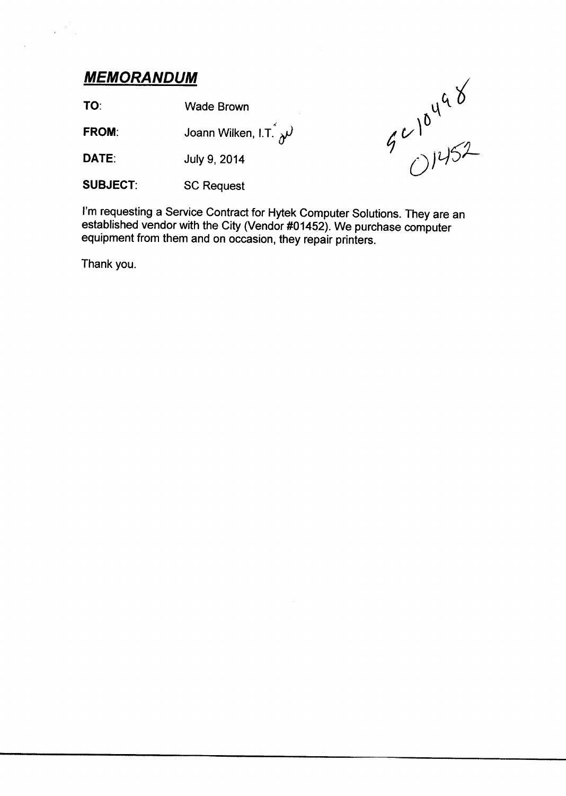## MEMORANDUM

 $\hat{\mathbf{r}}$ 

TO: Wade Brown

**FROM:** Joann Wilken, I.T.  $\lambda^j$ 

DATE: July 9, <sup>2014</sup>

SUBJECT: SC Request



i'm requesting <sup>a</sup> Service Contract for Hytek Computer Solutions. They are an established vendor with the City (Vendor #01452). We purchase computer equipment from them and on occasion, they repair printers.

Thank you.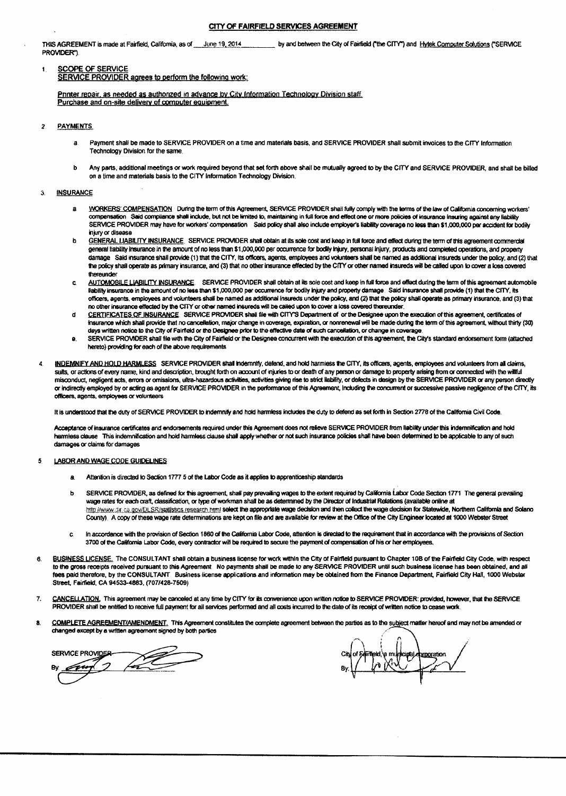#### CITY OF FAIRFIELD SERVICES AGREEMENT

THIS AGREEMENT is made at Fairfield, California, as of June 19, 2014 by and between the City of Fairfield ("the CITY") and Hytek Computer Solutions ("SERVICE PROVIDER"

#### SCOPE OF SERVICE  $\mathbf{I}$

SERVICE PROVIDER agrees to perform the following work:

Printer repair, as needed as authorized in advance by City Information Technology Division staff. Purchase and on-site delivery of computer equipment.

- **PAYMENTS**  $\overline{z}$ 
	- Payment shall be made to SERVICE PROVIDER on a time and materials basis, and SERVICE PROVIDER shall submit invoices to the CITY Information a Technology Division for the same.
	- Any parts, additional meetings or work required beyond that set forth above shall be mutually agreed to by the CITY and SERVICE PROVIDER, and shall be billed b on a time and materials basis to the CITY Information Technology Division.

#### **INSURANCE**  $\mathbf{A}$

- WORKERS' COMPENSATION. During the term of this Agreement, SERVICE PROVIDER shall fully comply with the terms of the law of California concerning workers'  $\mathbf{a}$ compensation Said compliance shall include, but not be limited to, maintaining in full force and effect one or more policies of insurance insuring against any liability SERVICE PROVIDER may have for workers' compensation Said policy shall also include employer's liability coverage no less than \$1,000,000 per accident for bodily injury or disease
- GENERAL LIABILITY INSURANCE. SERVICE PROVIDER shall obtain at its sole cost and keep in full force and effect during the term of this agreement commercial h general tiability insurance in the amount of no less than \$1,000,000 per occurrence for bodily injury, personal injury, products and completed operations, and property damage Sald insurance shall provide (1) that the CITY, its officers, agents, employees and volunteers shall be named as additional insureds under the policy, and (2) that the policy shall operate as primary insurance, and (3) that no other insurance effected by the CITY or other named insureds will be called upon to cover a loss covered thereunder
- AUTOMOBILE LIABILITY INSURANCE. SERVICE PROVIDER shall obtain at its sole cost and keep in full force and effect during the term of this agreement automobile<br>Ilability insurance in the amount of no less than \$1,000,000 per c. officers, agents, employees and volunteers shall be named as additional insureds under the policy, and (2) that the policy shall operate as orimary insurance. and (3) that no other insurance effected by the CITY or other named insureds will be called upon to cover a loss covered thereunder.
- CERTIFICATES OF INSURANCE SERVICE PROVIDER shall file with CITY'S Department of or the Designee upon the execution of this agreement, certificates of đ. insurance which shall provide that no cancellation, major change in coverage, expiration, or nonrenewal will be made during the term of this agreement, without thirty (30) days written notice to the City of Fairfield or the Designee prior to the effective date of such cancellation, or change in coverage
- SERVICE PROVIDER shall file with the City of Fairfield or the Designee concurrent with the execution of this agreement, the City's standard endorsement form (attached θ. hereto) providing for each of the above requirements.
- INDEMNIFY AND HOLD HARMLESS SERVICE PROVIDER shall indemnify, delend, and hold harmiess the CITY, its officers, agents, employees and volunteers from all claims,  $\Delta$ suits, or actions of every name, kind and description, brought forth on account of injuries to or death of any person or damage to property arising from or connected with the withful misconduct, negligent acts, errors or omissions, ultra-hazardous activities, activities giving rise to strict liability, or defects in design by the SERVICE PROVIDER or any person directly or indirectly employed by or acting as agent for SERVICE PROVIDER in the performance of this Agreement, Including the concurrent or successive passive negligence of the CITY, its officers, agents, employees or volunteers

It is understood that the duty of SERVICE PROVIDER to indemnify and hold harmless includes the duty to defend as set forth in Section 2778 of the California Civil Code.

Acceptance of insurance certificates and endorsements required under this Agreement does not relieve SERVICE PROVIDER from liability under this indernnification and hold harmless clause. This indernnification and hold harmless clause shall apply whether or not such insurance policies shall have been determined to be applicable to any of such damages or claims for damages

#### LABOR AND WAGE CODE GUIDELINES 5

- $\mathbf{a}$ Attention is directed to Section 1777 5 of the Labor Code as it applies to apprenticeship standards
- SERVICE PROVIDER, as defined for this agreement, shall pay prevailing wages to the extent required by California Labor Code Section 1771 The general prevailing Ь wage rates for each craft, classification, or type of workman shall be as determined by the Director of Industrial Relations (available online at http://www.dir.ca.gov/DLSR/stallstics.research.html select the appropriate wage decision and then collect the wage decision for Statewide, Northern California and Solano County). A copy of these wage rate determinations are kept on file and are available for review at the Office of the City Engineer located at 1000 Webster Street
- In accordance with the provision of Section 1860 of the California Labor Code, attention is directed to the requirement that in accordance with the provisions of Section c. 3700 of the California Labor Code, every contractor will be required to secure the payment of compensation of his or her employees.
- BUSINESS LICENSE. The CONSULTANT shall obtain a business license for work within the City of Fairfield pursuant to Chapter 10B of the Fairfield City Code, with respect A to the gross receipts received pursuant to this Agreement. No payments shall be made to any SERVICE PROVIDER until such business license has been obtained, and all fees paid therefore, by the CONSULTANT Business license applications and information may be obtained from the Finance Department, Fairfield City Hall, 1000 Webster Street, Fairfield, CA 94533-4883, (707/428-7509)
- CANCELLATION. This agreement may be canceled at any time by CITY for its convenience upon written notice to SERVICE PROVIDER: provided, however, that the SERVICE  $\overline{7}$ PROVIDER shall be entitled to receive full payment for all services performed and all costs incurred to the date of its receipt of written notice to cease work.
- COMPLETE AGREEMENT/AMENDMENT. This Agreement constitutes the complete agreement between the parties as to the subject matter hereof and may not be arrended or 8 changed except by a written agreement signed by both parties

**SAP** SERVICE PROVIDER-フ n.

ield, a municipal domoration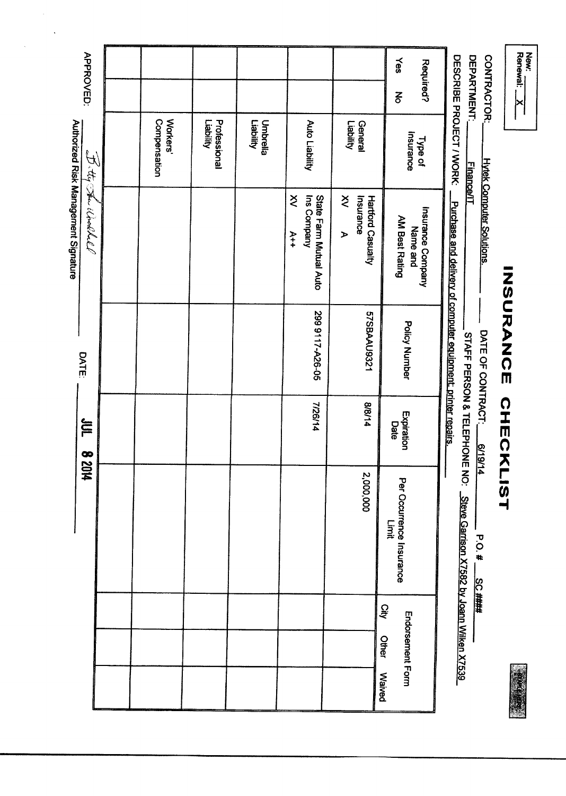| <b>DEPARTMENT:</b><br>CONTRACTOR: | DESCRIBE PROJECT / WORK<br><b>Finance/IT</b> | <b>Hytek Computer Solutions.</b><br>Purchase and delivery of computer equipment; printer repairs, | DATE OF CONTRACT: | STAFF PERSON & TELEPHONE NO: | 6/19/14<br>Steve Garrison X7582 by Joann Wilken X7539<br><b>P.O.#</b><br><b>SC ####</b> |                      |               |
|-----------------------------------|----------------------------------------------|---------------------------------------------------------------------------------------------------|-------------------|------------------------------|-----------------------------------------------------------------------------------------|----------------------|---------------|
| Yes<br>Required?<br>$\Xi$         | Insurance<br>Type of                         | Insurance Company<br><b>AM Best Rating</b><br>Name and                                            | Policy Number     | Expiration<br>Date           | Per Occurrence Insurance<br>Limit                                                       | Endorsement Form     |               |
|                                   | Liability<br>General                         | $\check{\leq}$<br>Insurance<br>Hartford Casualty<br>$\blacktriangleright$                         | 57SBAAU9321       | 8/8/14                       | 2,000,000                                                                               | <b>Qity</b><br>Other | <b>Waived</b> |
|                                   | Auto Liability                               | Ins Company<br>Š<br>State Farm Mutual Auto<br>$A+4$                                               | 299 9117-A26-05   | 7/26/14                      |                                                                                         |                      |               |
|                                   | Liability<br>Umbrella                        |                                                                                                   |                   |                              |                                                                                         |                      |               |
|                                   | <b>Vilidai.</b><br>Professional              |                                                                                                   |                   |                              |                                                                                         |                      |               |
|                                   | Workers'<br>Compensation                     |                                                                                                   |                   |                              |                                                                                         |                      |               |
|                                   |                                              |                                                                                                   |                   |                              |                                                                                         |                      |               |
| <b>APPROVED:</b>                  |                                              | Authorized Risk Management Signature<br>I the Shie World                                          | <b>DATE:</b>      | FOC                          | <b>bl028</b>                                                                            |                      |               |

 $\label{eq:2} \frac{1}{\sqrt{2}}\sum_{i=1}^n\frac{1}{\sqrt{2}}\sum_{i=1}^n\frac{1}{\sqrt{2}}\sum_{i=1}^n\frac{1}{\sqrt{2}}\sum_{i=1}^n\frac{1}{\sqrt{2}}\sum_{i=1}^n\frac{1}{\sqrt{2}}\sum_{i=1}^n\frac{1}{\sqrt{2}}\sum_{i=1}^n\frac{1}{\sqrt{2}}\sum_{i=1}^n\frac{1}{\sqrt{2}}\sum_{i=1}^n\frac{1}{\sqrt{2}}\sum_{i=1}^n\frac{1}{\sqrt{2}}\sum_{i=1}^n\frac{1$ 

 $\hat{\mathcal{A}}$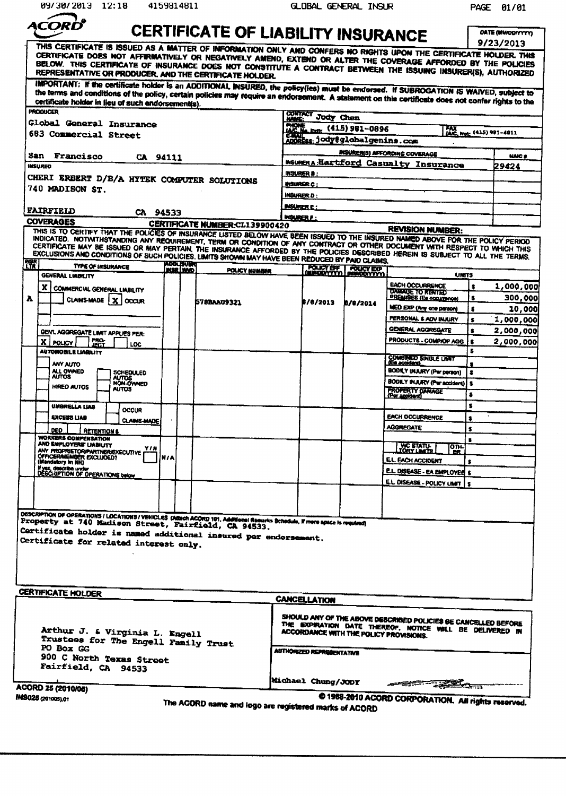| 09/30/2013 12:18                                                                                                                                                                                                                    | 4159814811                           |                                                       |                   | GLOBAL GENERAL INSUR                                               |                     |                                                                                                                            |                 | PAGE 01/01                           |
|-------------------------------------------------------------------------------------------------------------------------------------------------------------------------------------------------------------------------------------|--------------------------------------|-------------------------------------------------------|-------------------|--------------------------------------------------------------------|---------------------|----------------------------------------------------------------------------------------------------------------------------|-----------------|--------------------------------------|
| ACORC                                                                                                                                                                                                                               |                                      |                                                       |                   |                                                                    |                     |                                                                                                                            |                 |                                      |
|                                                                                                                                                                                                                                     |                                      | <b>CERTIFICATE OF LIABILITY INSURANCE</b>             |                   |                                                                    |                     |                                                                                                                            |                 | <b>DATE (MWOD/YYYY)</b><br>9/23/2013 |
| THIS CERTIFICATE IS ISSUED AS A MATTER OF INFORMATION ONLY AND CONFERS NO RIGHTS UPON THE CERTIFICATE HOLDER. THIS<br>CERTIFICATE DOES NOT AFFIRMATIVELY OR NEGATIVELY AMEND, EXTEND OR ALTER THE COVERAGE AFFORDED BY THE POLICIES |                                      |                                                       |                   |                                                                    |                     |                                                                                                                            |                 |                                      |
| BELOW. THIS CERTIFICATE OF INSURANCE DOES NOT CONSTITUTE A CONTRACT BETWEEN THE ISSUING INSURER(S), AUTHORIZED<br>REPRESENTATIVE OR PRODUCER, AND THE CERTIFICATE HOLDER.                                                           |                                      |                                                       |                   |                                                                    |                     |                                                                                                                            |                 |                                      |
| IMPORTANT: If the certificate holder is an ADDITIONAL INSURED, the policy(ies) must be endorsed. If SUBROGATION IS WAIVED, subject to                                                                                               |                                      |                                                       |                   |                                                                    |                     |                                                                                                                            |                 |                                      |
| the terms and conditions of the policy, certain policies may require an endorsement. A statement on this certificate does not confer rights to the<br>certificate holder in lieu of such endorsement(s).<br><b>PRODUCER</b>         |                                      |                                                       |                   |                                                                    |                     |                                                                                                                            |                 |                                      |
| Global General Insurance                                                                                                                                                                                                            |                                      |                                                       | CONTACT           | <b>Jody</b> Chen                                                   |                     |                                                                                                                            |                 |                                      |
| 683 Commercial Street                                                                                                                                                                                                               |                                      |                                                       |                   | <b>FHONE Ext.</b> (415) 981-0896<br>ADDREss: jody@globalgenins.com |                     |                                                                                                                            |                 | FAX<br>IAIC, Not: (415) 981-4811     |
| <b>San Francisco</b><br>CA 94111                                                                                                                                                                                                    |                                      |                                                       |                   |                                                                    |                     | <b>INSURER(S) AFFORDING COVERAGE</b>                                                                                       |                 | <b>NAIC #</b>                        |
| <b>INSURED</b>                                                                                                                                                                                                                      |                                      |                                                       |                   |                                                                    |                     | <b>INSURERA:Hartford Casualty Insurance</b>                                                                                |                 | 29424                                |
| CHERI ERBERT D/B/A HYTEK COMPUTER SOLUTIONS                                                                                                                                                                                         |                                      |                                                       |                   | <b>INSURER B:</b><br><b>INSURGR C:</b>                             |                     |                                                                                                                            |                 |                                      |
| 740 MADISON ST.                                                                                                                                                                                                                     |                                      |                                                       | <b>INGURER D:</b> |                                                                    |                     |                                                                                                                            |                 |                                      |
| <b>FAIRFIELD</b>                                                                                                                                                                                                                    |                                      |                                                       | INSURER E :       |                                                                    |                     |                                                                                                                            |                 |                                      |
| CA 94533<br><b>COVERAGES</b>                                                                                                                                                                                                        |                                      |                                                       | <b>INSURER F:</b> |                                                                    |                     |                                                                                                                            |                 |                                      |
| THIS IS TO CERTIFY THAT THE POLICIES OF INSURANCE LISTED BELOW HAVE BEEN ISSUED TO THE INSURED NAMED ABOVE FOR THE POLICY PERIOD                                                                                                    |                                      | <b>CERTIFICATE NUMBER:CL139900420</b>                 |                   |                                                                    |                     | <b>REVISION NUMBER:</b>                                                                                                    |                 |                                      |
| INDICATED. NOTWITHSTANDING ANY REQUIREMENT, TERM OR CONDITION OF ANY CONTRACT OR OTHER DOCUMENT WITH RESPECT TO WHICH THIS                                                                                                          |                                      |                                                       |                   |                                                                    |                     |                                                                                                                            |                 |                                      |
| CERTIFICATE MAY BE ISSUED OR MAY PERTAIN, THE INSURANCE AFFORDED BY THE POLICIES DESCRIBED HEREIN IS SUBJECT TO ALL THE TERMS.<br>EXCLUSIONS AND CONDITIONS OF SUCH POLICIES. LIMITS SHOWN MAY HAVE BEEN REDUCED BY PAID CLAIMS.    |                                      |                                                       |                   |                                                                    |                     |                                                                                                                            |                 |                                      |
| <b>HYSR</b><br><b>TYPE OF INSURANCE</b><br><b>GENERAL LIABILITY</b>                                                                                                                                                                 | <b>ADDLAUDT</b><br>INSR <u>LINND</u> | <b>POLICY NUMBER</b>                                  |                   |                                                                    | POLICY BR POLICY BR | <b>UMITS</b>                                                                                                               |                 |                                      |
|                                                                                                                                                                                                                                     |                                      |                                                       |                   |                                                                    |                     | <b>EACH OCCURRENCE</b>                                                                                                     | $\bullet$       | 1,000,000                            |
| X   COMMERCIAL GENERAL LIABILITY<br>A<br>CLAIMS-MADE   X   OCCUR                                                                                                                                                                    |                                      |                                                       |                   |                                                                    |                     | <b>DAMAGE TO RENTED</b><br><b>PREMISES (Ea occurrence)</b>                                                                 | \$              | 300,000                              |
|                                                                                                                                                                                                                                     |                                      | 578BAAU9321                                           |                   | B/8/2013                                                           | <b>B/8/2014</b>     | MED EXP (Any one parson)                                                                                                   | \$              | 10,000                               |
|                                                                                                                                                                                                                                     |                                      |                                                       |                   |                                                                    |                     | PERSONAL & ADV INJURY                                                                                                      | s               | 1,000,000                            |
| GEN'L AGGREGATE LIMIT APPLIES PER:                                                                                                                                                                                                  |                                      |                                                       |                   |                                                                    |                     | <b>GENERAL AGGREGATE</b>                                                                                                   | 8               | 2,000,000                            |
| <b>FRO-</b><br>X POLICY<br>LOC.                                                                                                                                                                                                     |                                      |                                                       |                   |                                                                    |                     | <b>PRODUCTS - COMPIOP AGG</b>                                                                                              | 2<br>s          | 2,000,000                            |
| <b>AUTOMOBILE LIABILITY</b>                                                                                                                                                                                                         |                                      |                                                       |                   |                                                                    |                     | <b>COMBINED SINGLE LIMIT</b><br>(Ed. accident)                                                                             |                 |                                      |
| ANY AUTO<br>ALL OWNED<br>SCHEDULED                                                                                                                                                                                                  |                                      |                                                       |                   |                                                                    |                     | <b>BODILY (NAURY (Per parson)</b>                                                                                          |                 |                                      |
| <b>AUTOS</b><br>AUTOS<br>HIRED AUTOS<br><b>AUTOS</b>                                                                                                                                                                                |                                      |                                                       |                   |                                                                    |                     | <b>BODILY INJURY (Per accident)</b>                                                                                        | $\bullet$       |                                      |
|                                                                                                                                                                                                                                     |                                      |                                                       |                   |                                                                    |                     | <b>PROPERTY DAMAGE</b><br>(Per applicent)                                                                                  | s               |                                      |
| UMBRELLA LIAB<br>OCCUR                                                                                                                                                                                                              |                                      |                                                       |                   |                                                                    |                     |                                                                                                                            | s               |                                      |
| <b>EXCESS LIAB</b><br><b>CLAIMS-MADE</b>                                                                                                                                                                                            |                                      |                                                       |                   |                                                                    |                     | <b>EACH OCCURRENCE</b><br><b>AGGREGATE</b>                                                                                 | s               |                                      |
| DED.<br><b>RETENTIONS</b><br><b>WORKERS COMPENSATION</b>                                                                                                                                                                            |                                      |                                                       |                   |                                                                    |                     |                                                                                                                            | \$<br>$\bullet$ |                                      |
| AND EMPLOYERS' LIABIUTY<br>YIN<br>ANY PROPRIETOR/PARTNER/EXECUTIVE                                                                                                                                                                  |                                      |                                                       |                   |                                                                    |                     | <b>VIC STATU-</b><br>JORY LEATE<br><b>OTH-</b><br>m                                                                        |                 |                                      |
| <b>OFFICERAMEMBER EXCLUDED?</b><br>(Mendatury In NH)                                                                                                                                                                                | <b>N/A</b>                           |                                                       |                   |                                                                    |                     | E.L. EACH ACCIDENT                                                                                                         | \$              |                                      |
| if yes, describe under<br>DESCRIPTION OF OPERATIONS below                                                                                                                                                                           |                                      |                                                       |                   |                                                                    |                     | <b>E.L. DISEASE - EA EMPLOYEE \$</b>                                                                                       |                 |                                      |
|                                                                                                                                                                                                                                     |                                      |                                                       |                   |                                                                    |                     | E.L. DISEASE - POLICY LIMIT                                                                                                | l si            |                                      |
|                                                                                                                                                                                                                                     |                                      |                                                       |                   |                                                                    |                     |                                                                                                                            |                 |                                      |
|                                                                                                                                                                                                                                     |                                      |                                                       |                   |                                                                    |                     |                                                                                                                            |                 |                                      |
| DESCRIPTION OF OPERATIONS / LOCATIONS / VEHICLES (Attach ACORD 101, Additional Remarks Behedula, if more space is required)<br>Property at 740 Madison Street, Fairfield, CA 94533.                                                 |                                      |                                                       |                   |                                                                    |                     |                                                                                                                            |                 |                                      |
| Certificate holder is named additional insured per endorsement.<br>Certificate for related interest only.                                                                                                                           |                                      |                                                       |                   |                                                                    |                     |                                                                                                                            |                 |                                      |
|                                                                                                                                                                                                                                     |                                      |                                                       |                   |                                                                    |                     |                                                                                                                            |                 |                                      |
|                                                                                                                                                                                                                                     |                                      |                                                       |                   |                                                                    |                     |                                                                                                                            |                 |                                      |
|                                                                                                                                                                                                                                     |                                      |                                                       |                   |                                                                    |                     |                                                                                                                            |                 |                                      |
| <b>CERTIFICATE HOLDER</b>                                                                                                                                                                                                           |                                      |                                                       |                   |                                                                    |                     |                                                                                                                            |                 |                                      |
|                                                                                                                                                                                                                                     |                                      |                                                       |                   | <b>CANCELLATION</b>                                                |                     |                                                                                                                            |                 |                                      |
|                                                                                                                                                                                                                                     |                                      |                                                       |                   |                                                                    |                     |                                                                                                                            |                 |                                      |
|                                                                                                                                                                                                                                     |                                      |                                                       |                   |                                                                    |                     | SHOULD ANY OF THE ABOVE DESCRIBED POLICIES BE CANCELLED BEFORE<br>THE EXPIRATION DATE THEREOF, NOTICE WILL BE DELIVERED IN |                 |                                      |
| Arthur J. & Virginia L. Engell<br>Trustees for The Engell Family Trust                                                                                                                                                              |                                      |                                                       |                   |                                                                    |                     | <b>ACCORDANCE WITH THE POLICY PROVISIONS.</b>                                                                              |                 |                                      |
| PO Box GG                                                                                                                                                                                                                           |                                      |                                                       |                   | <b>AUTHORIZED REPRESENTATIVE</b>                                   |                     |                                                                                                                            |                 |                                      |
| 900 C North Texas Street<br>Fairfield, CA 94533                                                                                                                                                                                     |                                      |                                                       |                   |                                                                    |                     |                                                                                                                            |                 |                                      |
|                                                                                                                                                                                                                                     |                                      |                                                       |                   | Michael Chung/JODY                                                 |                     |                                                                                                                            |                 |                                      |
| <b>ACORD 25 (2010/06)</b>                                                                                                                                                                                                           |                                      |                                                       |                   |                                                                    |                     | <del>ا التاريخ الع</del> مر                                                                                                |                 |                                      |
| INS025 (201005).01                                                                                                                                                                                                                  |                                      | The ACORD name and logo are registered marks of ACORD |                   |                                                                    |                     | @ 1988-2010 ACORD CORPORATION. All rights reserved.                                                                        |                 |                                      |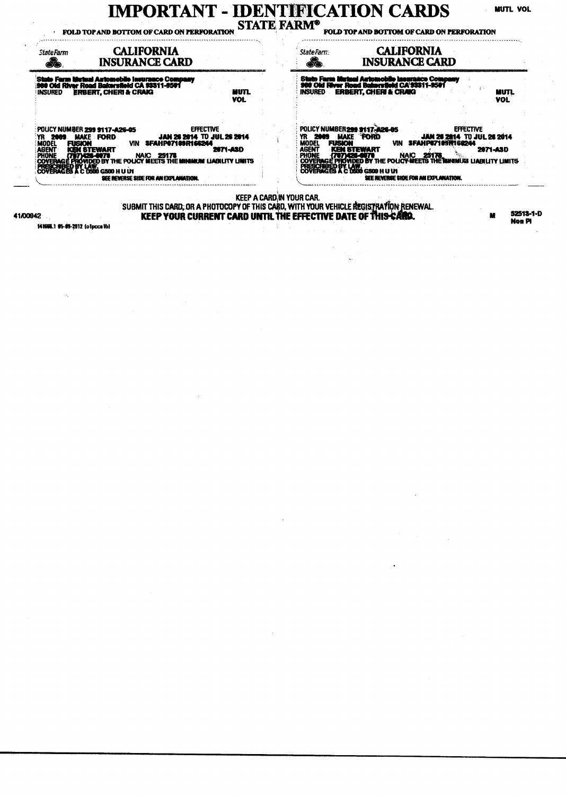# $\bf IMPORTANT\textcolor{red}{\bullet}\textbf{IDENTIFY}\textcolor{red}{CATION\textcolor{red}{\bullet}\textbf{CRRDS}}$  FOLD TOP AND BOTTOM OF CARD ON PERFORATION STATE FARM<sup>®</sup> FOLD TOP AND BOTTOM OF CARD ON PERFORATION

**MUTL VOL** 

| StateFarm<br>£.                | <b>CALIFORNIA</b><br><b>INSURANCE CARD</b>                                                                                                                                                                                                                                                                                         |                                 | <b>CALIFORNIA</b><br>StateFarm<br>£<br><b>INSURANCE CARD</b>                                                                                                                                                                                                                                                                                                                                                   |
|--------------------------------|------------------------------------------------------------------------------------------------------------------------------------------------------------------------------------------------------------------------------------------------------------------------------------------------------------------------------------|---------------------------------|----------------------------------------------------------------------------------------------------------------------------------------------------------------------------------------------------------------------------------------------------------------------------------------------------------------------------------------------------------------------------------------------------------------|
| <b>INSURED</b>                 | 'State Farm Mutual Automobile Insurance Company<br> 900 Old River Road Bakersfield CA 93311-6501<br><b>ERBERT, CHERI &amp; CRAIG</b><br>NUTL.<br><b>VOL</b>                                                                                                                                                                        |                                 | <b>State Farm Mutual Antomobile Ineurance Company</b><br>980 Old Hiver Road Bakersfield CA'93311-9501<br><b>ERBERT, CHERI &amp; CRAIG</b><br><b>INSURED</b><br><b>MUTL</b><br><b>VOL</b>                                                                                                                                                                                                                       |
| 2003<br><b>FUSION</b><br>MODEL | <b>EFFECTIVE</b><br>POLICY NUMBER 299 9117-A26-05<br>JAN 26 2014 TO JUL 26 2014<br><b>MAKE FORD</b><br>VIN SFAHPO7109R166244<br><b>2071-ASD</b><br>COVERAGE PROVIDED BY THE POLICY MEET'S THE MINIMUM LIABILITY LIMITS<br>COVERAGES A C DOUG GSOD H U UN<br>COVERAGES A C DOUG GSOD H U UN<br>SEE REVERSE SIDE FOR AN EXPLANATION. |                                 | POLICY NUMBER 299 9117-426-65<br><b>EFFECTIVE</b><br><b>PORD</b><br><b>MAKE</b><br>YR 2009<br>JAN 26 2014 TO JUL 26 2014<br><b>MODEL</b><br>VIN SFAHP67109R166244<br><b>FUSION</b><br><b>ASENT KEN STEWART MAIC 25178.</b><br>PHONE (707) 426-6070 NAIC 25178.<br>COVERAGE PHOVIDED BY THE POLICY MEETS THE MINIMUM LIABILITY LIMITS<br>COVERAGES A C 0800 G500 H U U1<br>SEE REVERSE SHOE FOR AN EXPLANATION. |
| 1/00942                        |                                                                                                                                                                                                                                                                                                                                    | <b>KEEP A CARD IN YOUR CAR.</b> | SUBMIT THIS CARD: OR A PHOTOCOPY OF THIS CARD, WITH YOUR VEHICLE REGISTRATION RENEWAL.<br>52513-1-0<br>KEEP YOUR CURRENT CARD UNTIL THE EFFECTIVE DATE OF THIS CARD.<br>м<br>Noa Pi                                                                                                                                                                                                                            |

141666.1 05-05-2012 (o1pccalb)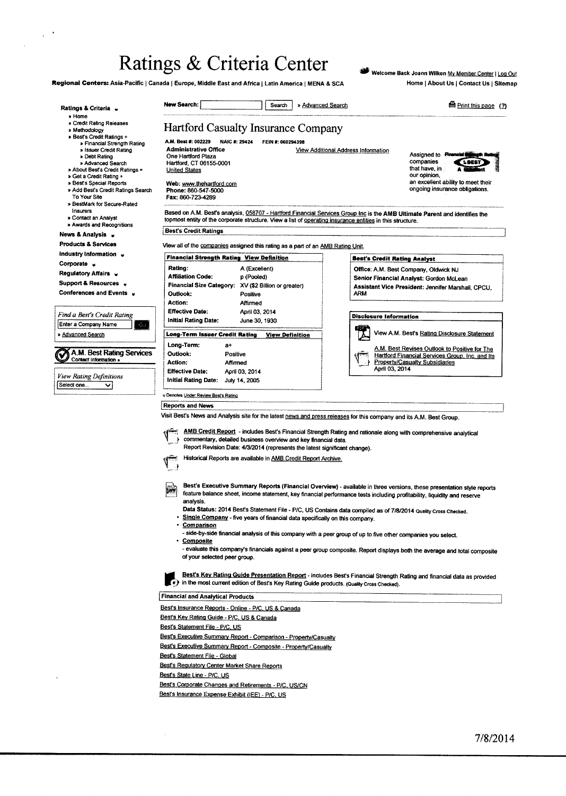## Ratings & Criteria Center

Regional Centers: Asia-Pacific | Canada | Europe, Middle East and Africa | Latin America | MENA & SCA

 $\bar{a}$ 

 $\sqrt{2}$ 

Welcome Back Joann Wilken My Member Center | Log Out Home | About Us | Contact Us | Sitemap

| Ratings & Criteria v                                                                                                                                                                                                                                                                                    | <b>New Search:</b><br>» Advanced Search<br>Search                                                                                                                                                                                                                                                                                                                                                                                                                                                                               | Print this page (2)                                                                                                                                                                                                                                |  |  |  |  |  |
|---------------------------------------------------------------------------------------------------------------------------------------------------------------------------------------------------------------------------------------------------------------------------------------------------------|---------------------------------------------------------------------------------------------------------------------------------------------------------------------------------------------------------------------------------------------------------------------------------------------------------------------------------------------------------------------------------------------------------------------------------------------------------------------------------------------------------------------------------|----------------------------------------------------------------------------------------------------------------------------------------------------------------------------------------------------------------------------------------------------|--|--|--|--|--|
| » Home<br>» Credit Rating Releases<br>» Methodology                                                                                                                                                                                                                                                     | <b>Hartford Casualty Insurance Company</b>                                                                                                                                                                                                                                                                                                                                                                                                                                                                                      |                                                                                                                                                                                                                                                    |  |  |  |  |  |
| » Best's Credit Ratings +<br>» Financial Strength Rating<br>» Issuer Credit Rating<br>» Debt Rating<br>» Advanced Search<br>» About Best's Credit Ratings +<br>» Get a Credit Rating +<br>» Best's Special Reports<br>» Add Best's Credit Ratings Search<br>To Your Site<br>» BestMark for Secure-Rated | A.M. Best #: 002229<br>NAIC #: 29424<br>FEIN #: 060294398<br><b>Administrative Office</b><br>One Hartford Plaza<br>Hartford, CT 06155-0001<br><b>United States</b><br>Web: www.thehartford.com<br>Phone: 860-547-5000<br>Fax: 860-723-4289                                                                                                                                                                                                                                                                                      | View Additional Address Information<br>Assigned to <b>Please in all</b><br>ath Roting<br>companies<br>2.868<br>that have in<br>our opinion,<br>an excellent ability to meet their<br>ongoing insurance obligations.                                |  |  |  |  |  |
| Insurers<br>» Contact an Analyst<br>» Awards and Recognitions                                                                                                                                                                                                                                           | Based on A.M. Best's analysis, 058707 - Hartford Financial Services Group Inc is the AMB Ultimate Parent and identifies the<br>topmost entity of the corporate structure. View a list of operating insurance entities in this structure.                                                                                                                                                                                                                                                                                        |                                                                                                                                                                                                                                                    |  |  |  |  |  |
| News & Analysis y                                                                                                                                                                                                                                                                                       | <b>Best's Credit Ratings</b>                                                                                                                                                                                                                                                                                                                                                                                                                                                                                                    |                                                                                                                                                                                                                                                    |  |  |  |  |  |
| <b>Products &amp; Services</b>                                                                                                                                                                                                                                                                          | View all of the companies assigned this rating as a part of an AMB Rating Unit.                                                                                                                                                                                                                                                                                                                                                                                                                                                 |                                                                                                                                                                                                                                                    |  |  |  |  |  |
| Industry Information $\downarrow$                                                                                                                                                                                                                                                                       | <b>Financial Strength Rating View Definition</b>                                                                                                                                                                                                                                                                                                                                                                                                                                                                                |                                                                                                                                                                                                                                                    |  |  |  |  |  |
| Corporate $\sqrt{ }$                                                                                                                                                                                                                                                                                    |                                                                                                                                                                                                                                                                                                                                                                                                                                                                                                                                 | <b>Best's Credit Rating Analyst</b>                                                                                                                                                                                                                |  |  |  |  |  |
| Regulatory Affairs v<br>Support & Resources v                                                                                                                                                                                                                                                           | Rating:<br>A (Excellent)<br><b>Affiliation Code:</b><br>p (Pooled)<br><b>Financial Size Category:</b><br>XV (\$2 Billion or greater)                                                                                                                                                                                                                                                                                                                                                                                            | Office: A.M. Best Company, Oldwick NJ<br>Senior Financial Analyst: Gordon McLean<br>Assistant Vice President: Jennifer Marshall, CPCU.                                                                                                             |  |  |  |  |  |
| Conferences and Events v                                                                                                                                                                                                                                                                                | Outlook:<br>Positive                                                                                                                                                                                                                                                                                                                                                                                                                                                                                                            | ARM                                                                                                                                                                                                                                                |  |  |  |  |  |
|                                                                                                                                                                                                                                                                                                         | Action:<br>Affirmed                                                                                                                                                                                                                                                                                                                                                                                                                                                                                                             |                                                                                                                                                                                                                                                    |  |  |  |  |  |
| Find a Best's Credit Rating                                                                                                                                                                                                                                                                             | <b>Effective Date:</b><br>April 03, 2014                                                                                                                                                                                                                                                                                                                                                                                                                                                                                        | <b>Disclosure Information</b>                                                                                                                                                                                                                      |  |  |  |  |  |
| Enter a Company Name<br>₹GJ                                                                                                                                                                                                                                                                             | <b>Initial Rating Date:</b><br>June 30, 1930                                                                                                                                                                                                                                                                                                                                                                                                                                                                                    |                                                                                                                                                                                                                                                    |  |  |  |  |  |
| » <u>Advanced Search</u>                                                                                                                                                                                                                                                                                | Long-Term Issuer Credit Rating<br><b>View Definition</b><br>Long-Term:<br>a+                                                                                                                                                                                                                                                                                                                                                                                                                                                    | View A.M. Best's Rating Disclosure Statement                                                                                                                                                                                                       |  |  |  |  |  |
| A.M. Best Rating Services<br>Contact Information »                                                                                                                                                                                                                                                      | Outlook:<br>Positive<br>Action:<br>Affirmed<br><b>Effective Date:</b><br>April 03, 2014                                                                                                                                                                                                                                                                                                                                                                                                                                         | A.M. Best Revises Outlook to Positive for The<br>Hartford Financial Services Group, Inc. and Its<br><b>Property/Casualty Subsidiaries</b><br>April 03, 2014                                                                                        |  |  |  |  |  |
| View Rating Definitions                                                                                                                                                                                                                                                                                 | Initial Rating Date:<br>July 14, 2005                                                                                                                                                                                                                                                                                                                                                                                                                                                                                           |                                                                                                                                                                                                                                                    |  |  |  |  |  |
| Select one<br>◡                                                                                                                                                                                                                                                                                         |                                                                                                                                                                                                                                                                                                                                                                                                                                                                                                                                 |                                                                                                                                                                                                                                                    |  |  |  |  |  |
|                                                                                                                                                                                                                                                                                                         | u Denotes Under Review Best's Rating                                                                                                                                                                                                                                                                                                                                                                                                                                                                                            |                                                                                                                                                                                                                                                    |  |  |  |  |  |
|                                                                                                                                                                                                                                                                                                         | <b>Reports and News</b>                                                                                                                                                                                                                                                                                                                                                                                                                                                                                                         |                                                                                                                                                                                                                                                    |  |  |  |  |  |
|                                                                                                                                                                                                                                                                                                         | Visit Best's News and Analysis site for the latest news and press releases for this company and its A.M. Best Group.                                                                                                                                                                                                                                                                                                                                                                                                            |                                                                                                                                                                                                                                                    |  |  |  |  |  |
|                                                                                                                                                                                                                                                                                                         | AMB Credit Report - includes Best's Financial Strength Rating and rationale along with comprehensive analytical<br>commentary, detailed business overview and key financial data.<br>Report Revision Date: 4/3/2014 (represents the latest significant change).<br>Historical Reports are available in AMB Credit Report Archive.<br>$\mathbb{V}$                                                                                                                                                                               |                                                                                                                                                                                                                                                    |  |  |  |  |  |
|                                                                                                                                                                                                                                                                                                         | व्य<br>feature balance sheet, income statement, key financial performance tests including profitability, liquidity and reserve<br>analysis.<br>Data Status: 2014 Best's Statement File - P/C, US Contains data compiled as of 7/8/2014 Quality Cross Checked.<br>Single Company - five years of financial data specifically on this company.<br>Comparison<br>- side-by-side financial analysis of this company with a peer group of up to five other companies you select.<br><b>Composite</b><br>of your selected peer group. | Best's Executive Summary Reports (Financial Overview) - available in three versions, these presentation style reports<br>- evaluate this company's financials against a peer group composite. Report displays both the average and total composite |  |  |  |  |  |
|                                                                                                                                                                                                                                                                                                         | (*) in the most current edition of Best's Key Rating Guide products. (Quality Cross Checked).                                                                                                                                                                                                                                                                                                                                                                                                                                   | Best's Key Rating Guide Presentation Report - includes Best's Financial Strength Rating and financial data as provided                                                                                                                             |  |  |  |  |  |
|                                                                                                                                                                                                                                                                                                         | <b>Financial and Analytical Products</b>                                                                                                                                                                                                                                                                                                                                                                                                                                                                                        |                                                                                                                                                                                                                                                    |  |  |  |  |  |
|                                                                                                                                                                                                                                                                                                         | Best's insurance Reports - Online - P/C, US & Canada                                                                                                                                                                                                                                                                                                                                                                                                                                                                            |                                                                                                                                                                                                                                                    |  |  |  |  |  |
|                                                                                                                                                                                                                                                                                                         | Best's Key Rating Guide - P/C, US & Canada                                                                                                                                                                                                                                                                                                                                                                                                                                                                                      |                                                                                                                                                                                                                                                    |  |  |  |  |  |
|                                                                                                                                                                                                                                                                                                         | Best's Statement File - P/C. US                                                                                                                                                                                                                                                                                                                                                                                                                                                                                                 |                                                                                                                                                                                                                                                    |  |  |  |  |  |
|                                                                                                                                                                                                                                                                                                         |                                                                                                                                                                                                                                                                                                                                                                                                                                                                                                                                 |                                                                                                                                                                                                                                                    |  |  |  |  |  |
|                                                                                                                                                                                                                                                                                                         | Best's Executive Summary Report - Comparison - Property/Casualty                                                                                                                                                                                                                                                                                                                                                                                                                                                                |                                                                                                                                                                                                                                                    |  |  |  |  |  |
|                                                                                                                                                                                                                                                                                                         | Best's Executive Summary Report - Composite - Property/Casualty                                                                                                                                                                                                                                                                                                                                                                                                                                                                 |                                                                                                                                                                                                                                                    |  |  |  |  |  |
|                                                                                                                                                                                                                                                                                                         | Best's Statement File - Global                                                                                                                                                                                                                                                                                                                                                                                                                                                                                                  |                                                                                                                                                                                                                                                    |  |  |  |  |  |
|                                                                                                                                                                                                                                                                                                         | <b>Best's Regulatory Center Market Share Reports</b>                                                                                                                                                                                                                                                                                                                                                                                                                                                                            |                                                                                                                                                                                                                                                    |  |  |  |  |  |
|                                                                                                                                                                                                                                                                                                         | Best's State Line - P/C, US                                                                                                                                                                                                                                                                                                                                                                                                                                                                                                     |                                                                                                                                                                                                                                                    |  |  |  |  |  |
|                                                                                                                                                                                                                                                                                                         | Best's Corporate Changes and Retirements - P/C, US/CN                                                                                                                                                                                                                                                                                                                                                                                                                                                                           |                                                                                                                                                                                                                                                    |  |  |  |  |  |
|                                                                                                                                                                                                                                                                                                         | Best's Insurance Expense Exhibit (IEE) - P/C, US                                                                                                                                                                                                                                                                                                                                                                                                                                                                                |                                                                                                                                                                                                                                                    |  |  |  |  |  |
|                                                                                                                                                                                                                                                                                                         |                                                                                                                                                                                                                                                                                                                                                                                                                                                                                                                                 |                                                                                                                                                                                                                                                    |  |  |  |  |  |